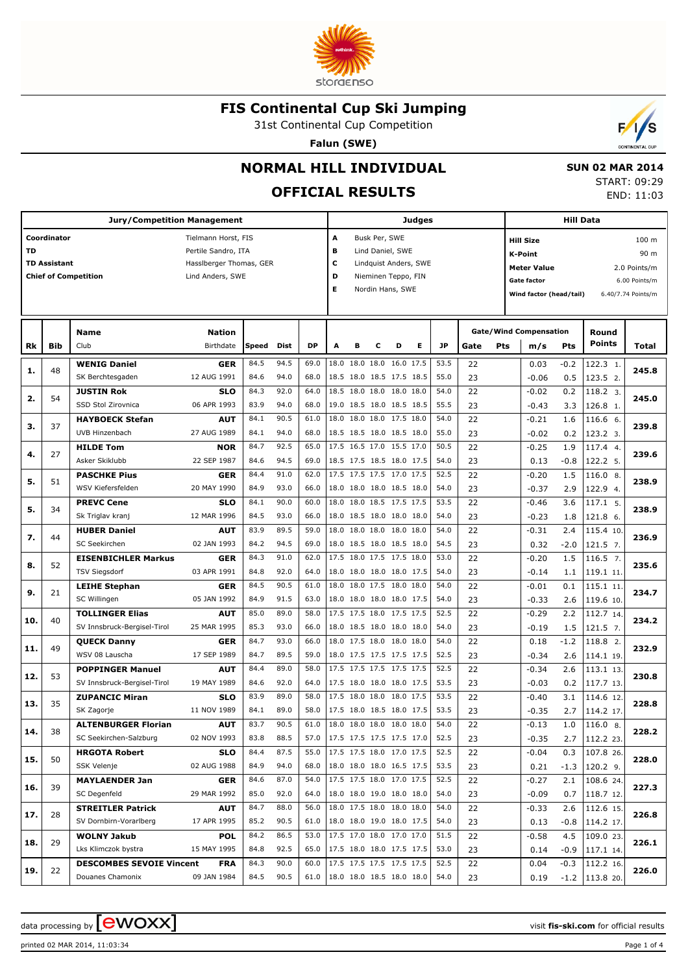

31st Continental Cup Competition

**Falun (SWE)**



## **NORMAL HILL INDIVIDUAL**

# **OFFICIAL RESULTS**

 **SUN 02 MAR 2014** START: 09:29 END: 11:03

|     |                                    | Jury/Competition Management                            |                                                                                           |              |              |                                         |                          |                                                      |               |                                                             | Judges                |              |          |            |                                                                                                           | <b>Hill Data</b> |                         |                                                                      |
|-----|------------------------------------|--------------------------------------------------------|-------------------------------------------------------------------------------------------|--------------|--------------|-----------------------------------------|--------------------------|------------------------------------------------------|---------------|-------------------------------------------------------------|-----------------------|--------------|----------|------------|-----------------------------------------------------------------------------------------------------------|------------------|-------------------------|----------------------------------------------------------------------|
| TD  | Coordinator<br><b>TD Assistant</b> | <b>Chief of Competition</b>                            | Tielmann Horst, FIS<br>Pertile Sandro, ITA<br>Hassiberger Thomas, GER<br>Lind Anders, SWE |              |              |                                         | A<br>в<br>c<br>D<br>Е    |                                                      | Busk Per, SWE | Lind Daniel, SWE<br>Nieminen Teppo, FIN<br>Nordin Hans, SWE | Lindquist Anders, SWE |              |          |            | <b>Hill Size</b><br><b>K-Point</b><br><b>Meter Value</b><br><b>Gate factor</b><br>Wind factor (head/tail) |                  |                         | 100 m<br>90 m<br>2.0 Points/m<br>6.00 Points/m<br>6.40/7.74 Points/m |
| Rk  | Bib                                | Name<br>Club                                           | <b>Nation</b><br>Birthdate                                                                | Speed        | Dist         | <b>DP</b>                               | A                        | в                                                    | c             | D                                                           | Е                     | <b>JP</b>    | Gate     | <b>Pts</b> | <b>Gate/Wind Compensation</b><br>m/s                                                                      | Pts              | Round<br><b>Points</b>  | Total                                                                |
| 1.  | 48                                 | <b>WENIG Daniel</b><br>SK Berchtesgaden                | GER<br>12 AUG 1991                                                                        | 84.5<br>84.6 | 94.5<br>94.0 | 69.0<br>68.0                            |                          | 18.0 18.0 18.0 16.0 17.5<br>18.5 18.0 18.5 17.5 18.5 |               |                                                             |                       | 53.5<br>55.0 | 22<br>23 |            | 0.03<br>$-0.06$                                                                                           | $-0.2$<br>0.5    | 122.3 1.<br>123.5 2.    | 245.8                                                                |
| 2.  | 54                                 | <b>JUSTIN Rok</b><br>SSD Stol Zirovnica                | <b>SLO</b><br>06 APR 1993                                                                 | 84.3<br>83.9 | 92.0<br>94.0 | 64.0<br>68.0                            |                          | 18.5 18.0 18.0 18.0 18.0<br>19.0 18.5 18.0 18.5 18.5 |               |                                                             |                       | 54.0<br>55.5 | 22<br>23 |            | $-0.02$<br>$-0.43$                                                                                        | 0.2<br>3.3       | 118.2 3.<br>126.8 1.    | 245.0                                                                |
| з.  | 37                                 | <b>HAYBOECK Stefan</b><br>UVB Hinzenbach               | <b>AUT</b><br>27 AUG 1989                                                                 | 84.1<br>84.1 | 90.5<br>94.0 | 61.0<br>68.0                            |                          | 18.0 18.0 18.0 17.5 18.0<br>18.5 18.5 18.0 18.5 18.0 |               |                                                             |                       | 54.0<br>55.0 | 22<br>23 |            | $-0.21$<br>$-0.02$                                                                                        | 1.6<br>0.2       | 116.6 6.<br>123.2 3.    | 239.8                                                                |
| 4.  | 27                                 | <b>HILDE Tom</b><br>Asker Skiklubb                     | <b>NOR</b><br>22 SEP 1987                                                                 | 84.7<br>84.6 | 92.5<br>94.5 | 65.0<br>69.0                            |                          | 17.5 16.5 17.0 15.5 17.0<br>18.5 17.5 18.5 18.0 17.5 |               |                                                             |                       | 50.5<br>54.0 | 22<br>23 |            | $-0.25$<br>0.13                                                                                           | 1.9<br>$-0.8$    | 117.4 4.<br>122.2 5.    | 239.6                                                                |
| 5.  | 51                                 | <b>PASCHKE Pius</b><br>WSV Kiefersfelden               | <b>GER</b><br>20 MAY 1990                                                                 | 84.4<br>84.9 | 91.0<br>93.0 | 62.0<br>66.0                            |                          | 17.5 17.5 17.5 17.0 17.5<br>18.0 18.0 18.0 18.5 18.0 |               |                                                             |                       | 52.5<br>54.0 | 22<br>23 |            | $-0.20$<br>$-0.37$                                                                                        | 1.5<br>2.9       | 116.0 8.<br>122.9 4.    | 238.9                                                                |
| 5.  | 34                                 | <b>PREVC Cene</b><br>Sk Triglav kranj                  | <b>SLO</b><br>12 MAR 1996                                                                 | 84.1<br>84.5 | 90.0<br>93.0 | 60.0<br>66.0                            |                          | 18.0 18.0 18.5 17.5 17.5<br>18.0 18.5 18.0 18.0 18.0 |               |                                                             |                       | 53.5<br>54.0 | 22<br>23 |            | $-0.46$<br>$-0.23$                                                                                        | 3.6<br>1.8       | 117.1 5.<br>121.8 6.    | 238.9                                                                |
| 7.  | 44                                 | <b>HUBER Daniel</b><br>SC Seekirchen                   | <b>AUT</b><br>02 JAN 1993                                                                 | 83.9<br>84.2 | 89.5<br>94.5 | 59.0<br>69.0                            |                          | 18.0 18.0 18.0 18.0 18.0<br>18.0 18.5 18.0 18.5 18.0 |               |                                                             |                       | 54.0<br>54.5 | 22<br>23 |            | $-0.31$<br>0.32                                                                                           | 2.4<br>$-2.0$    | 115.4 10.<br>$121.5$ 7. | 236.9                                                                |
| 8.  | 52                                 | <b>EISENBICHLER Markus</b><br><b>TSV Siegsdorf</b>     | <b>GER</b><br>03 APR 1991                                                                 | 84.3<br>84.8 | 91.0<br>92.0 | 62.0<br>64.0                            |                          | 17.5 18.0 17.5 17.5 18.0<br>18.0 18.0 18.0 18.0 17.5 |               |                                                             |                       | 53.0<br>54.0 | 22<br>23 |            | $-0.20$<br>$-0.14$                                                                                        | 1.5<br>1.1       | $116.5$ 7.<br>119.1 11. | 235.6                                                                |
| 9.  | 21                                 | <b>LEIHE Stephan</b><br>SC Willingen                   | <b>GER</b><br>05 JAN 1992                                                                 | 84.5<br>84.9 | 90.5<br>91.5 | 61.0<br>63.0                            |                          | 18.0 18.0 17.5 18.0 18.0<br>18.0 18.0 18.0 18.0 17.5 |               |                                                             |                       | 54.0<br>54.0 | 22<br>23 |            | $-0.01$<br>$-0.33$                                                                                        | 0.1<br>2.6       | 115.1 11.<br>119.6 10.  | 234.7                                                                |
| 10. | 40                                 | <b>TOLLINGER Elias</b><br>SV Innsbruck-Bergisel-Tirol  | AUT<br>25 MAR 1995                                                                        | 85.0<br>85.3 | 89.0<br>93.0 | 58.0<br>66.0                            |                          | 17.5 17.5 18.0 17.5 17.5<br>18.0 18.5 18.0 18.0 18.0 |               |                                                             |                       | 52.5<br>54.0 | 22<br>23 |            | $-0.29$<br>$-0.19$                                                                                        | 2.2<br>1.5       | 112.7 14.<br>$121.5$ 7. | 234.2                                                                |
| 11. | 49                                 | <b>QUECK Danny</b><br>WSV 08 Lauscha                   | <b>GER</b><br>17 SEP 1989                                                                 | 84.7<br>84.7 | 93.0<br>89.5 | 66.0<br>59.0                            |                          | 18.0 17.5 18.0 18.0 18.0<br>18.0 17.5 17.5 17.5 17.5 |               |                                                             |                       | 54.0<br>52.5 | 22<br>23 |            | 0.18<br>$-0.34$                                                                                           | $-1.2$<br>2.6    | 118.8 2.<br>114.1 19.   | 232.9                                                                |
| 12. | 53                                 | <b>POPPINGER Manuel</b><br>SV Innsbruck-Bergisel-Tirol | AUT<br>19 MAY 1989                                                                        | 84.4<br>84.6 | 89.0<br>92.0 | 58.0<br>64.0                            |                          | 17.5 17.5 17.5 17.5 17.5<br>17.5 18.0 18.0 18.0 17.5 |               |                                                             |                       | 52.5<br>53.5 | 22<br>23 |            | $-0.34$<br>$-0.03$                                                                                        | 2.6<br>0.2       | 113.1 13.<br>117.7 13.  | 230.8                                                                |
| 13. | 35                                 | <b>ZUPANCIC Miran</b><br>SK Zagorje                    | <b>SLO</b><br>11 NOV 1989                                                                 | 83.9<br>84.1 | 89.0<br>89.0 | 58.0<br>58.0                            |                          | 17.5 18.0 18.0 18.0 17.5<br>17.5 18.0 18.5 18.0 17.5 |               |                                                             |                       | 53.5<br>53.5 | 22<br>23 |            | $-0.40$<br>$-0.35$                                                                                        | 3.1<br>2.7       | 114.6 12.<br>114.2 17.  | 228.8                                                                |
| 14. | 38                                 | <b>ALTENBURGER Florian</b><br>SC Seekirchen-Salzburg   | <b>AUT</b><br>02 NOV 1993                                                                 | 83.7<br>83.8 | 90.5<br>88.5 | 61.0<br>57.0                            | 17.5 17.5 17.5 17.5 17.0 | 18.0 18.0 18.0 18.0 18.0                             |               |                                                             |                       | 54.0<br>52.5 | 22<br>23 |            | $-0.13$<br>$-0.35$                                                                                        | $1.0\,$<br>2.7   | 116.0 8.<br>112.2 23.   | 228.2                                                                |
| 15. | 50                                 | <b>HRGOTA Robert</b><br>SSK Velenje                    | <b>SLO</b><br>02 AUG 1988                                                                 | 84.4<br>84.9 | 87.5<br>94.0 | 55.0<br>68.0                            |                          | 17.5 17.5 18.0 17.0 17.5<br>18.0 18.0 18.0 16.5 17.5 |               |                                                             |                       | 52.5<br>53.5 | 22<br>23 |            | $-0.04$<br>0.21                                                                                           | 0.3<br>$-1.3$    | 107.8 26.<br>120.2 9.   | 228.0                                                                |
| 16. | 39                                 | <b>MAYLAENDER Jan</b><br>SC Degenfeld                  | GER<br>29 MAR 1992                                                                        | 84.6<br>85.0 | 87.0<br>92.0 | 54.0<br>64.0                            |                          | 17.5 17.5 18.0 17.0 17.5<br>18.0 18.0 19.0 18.0 18.0 |               |                                                             |                       | 52.5<br>54.0 | 22<br>23 |            | $-0.27$<br>$-0.09$                                                                                        | 2.1<br>0.7       | 108.6 24.<br>118.7 12.  | 227.3                                                                |
| 17. | 28                                 | <b>STREITLER Patrick</b><br>SV Dornbirn-Vorarlberg     | AUT<br>17 APR 1995                                                                        | 84.7<br>85.2 | 88.0<br>90.5 | 56.0<br>61.0                            |                          | 18.0 17.5 18.0 18.0 18.0<br>18.0 18.0 19.0 18.0 17.5 |               |                                                             |                       | 54.0<br>54.0 | 22<br>23 |            | $-0.33$<br>0.13                                                                                           | 2.6<br>-0.8      | 112.6 15.<br>114.2 17.  | 226.8                                                                |
| 18. | 29                                 | <b>WOLNY Jakub</b><br>Lks Klimczok bystra              | <b>POL</b><br>15 MAY 1995                                                                 | 84.2<br>84.8 | 86.5<br>92.5 | 53.0<br>65.0                            |                          | 17.5 17.0 18.0 17.0 17.0<br>17.5 18.0 18.0 17.5 17.5 |               |                                                             |                       | 51.5<br>53.0 | 22<br>23 |            | $-0.58$<br>0.14                                                                                           | 4.5<br>-0.9      | 109.0 23.<br>117.1 14.  | 226.1                                                                |
| 19. | 22                                 | <b>DESCOMBES SEVOIE Vincent</b><br>Douanes Chamonix    | <b>FRA</b><br>09 JAN 1984                                                                 | 84.3<br>84.5 | 90.0<br>90.5 | 60.0<br>61.0   18.0 18.0 18.5 18.0 18.0 |                          | 17.5 17.5 17.5 17.5 17.5                             |               |                                                             |                       | 52.5<br>54.0 | 22<br>23 |            | 0.04<br>0.19                                                                                              | -0.3<br>$-1.2$   | 112.2 16.<br>113.8 20.  | 226.0                                                                |

data processing by **CWOXX**  $\blacksquare$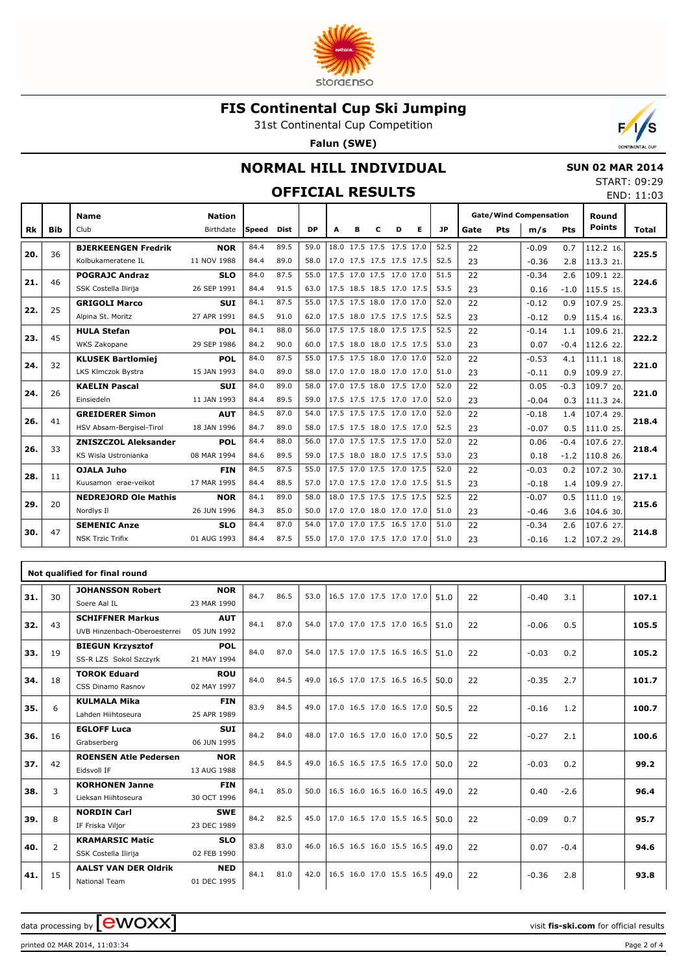

31st Continental Cup Competition

**Falun (SWE)**



# **NORMAL HILL INDIVIDUAL**

### **OFFICIAL RESULTS**

| <b>SUN 02 MAR 2014</b> |
|------------------------|
| START: 09:29           |
| END: 11:03             |

|     |     | <b>Name</b>                 | <b>Nation</b> |       |      |      |   |   |   |                          |   |      |      |            | <b>Gate/Wind Compensation</b> |            | Round         |       |
|-----|-----|-----------------------------|---------------|-------|------|------|---|---|---|--------------------------|---|------|------|------------|-------------------------------|------------|---------------|-------|
| Rk  | Bib | Club                        | Birthdate     | Speed | Dist | DP.  | A | в | c | D                        | Е | JP   | Gate | <b>Pts</b> | m/s                           | <b>Pts</b> | <b>Points</b> | Total |
| 20. | 36  | <b>BJERKEENGEN Fredrik</b>  | <b>NOR</b>    | 84.4  | 89.5 | 59.0 |   |   |   | 18.0 17.5 17.5 17.5 17.0 |   | 52.5 | 22   |            | $-0.09$                       | 0.7        | 112.2 16.     | 225.5 |
|     |     | Kolbukameratene IL          | 11 NOV 1988   | 84.4  | 89.0 | 58.0 |   |   |   | 17.0 17.5 17.5 17.5 17.5 |   | 52.5 | 23   |            | $-0.36$                       | 2.8        | 113.3 21.     |       |
| 21. | 46  | <b>POGRAJC Andraz</b>       | <b>SLO</b>    | 84.0  | 87.5 | 55.0 |   |   |   | 17.5 17.0 17.5 17.0 17.0 |   | 51.5 | 22   |            | $-0.34$                       | 2.6        | 109.1 22.     | 224.6 |
|     |     | SSK Costella Ilirija        | 26 SEP 1991   | 84.4  | 91.5 | 63.0 |   |   |   | 17.5 18.5 18.5 17.0 17.5 |   | 53.5 | 23   |            | 0.16                          | $-1.0$     | 115.5 15.     |       |
| 22. | 25  | <b>GRIGOLI Marco</b>        | <b>SUI</b>    | 84.1  | 87.5 | 55.0 |   |   |   | 17.5 17.5 18.0 17.0 17.0 |   | 52.0 | 22   |            | $-0.12$                       | 0.9        | 107.9 25.     | 223.3 |
|     |     | Alpina St. Moritz           | 27 APR 1991   | 84.5  | 91.0 | 62.0 |   |   |   | 17.5 18.0 17.5 17.5 17.5 |   | 52.5 | 23   |            | $-0.12$                       | 0.9        | 115.4 16.     |       |
| 23. | 45  | <b>HULA Stefan</b>          | POL           | 84.1  | 88.0 | 56.0 |   |   |   | 17.5 17.5 18.0 17.5 17.5 |   | 52.5 | 22   |            | $-0.14$                       | 1.1        | 109.6 21.     | 222.2 |
|     |     | WKS Zakopane                | 29 SEP 1986   | 84.2  | 90.0 | 60.0 |   |   |   | 17.5 18.0 18.0 17.5 17.5 |   | 53.0 | 23   |            | 0.07                          | $-0.4$     | 112.6 22.     |       |
| 24. | 32  | <b>KLUSEK Bartlomiej</b>    | POL           | 84.0  | 87.5 | 55.0 |   |   |   | 17.5 17.5 18.0 17.0 17.0 |   | 52.0 | 22   |            | $-0.53$                       | 4.1        | 111.1 18.     | 221.0 |
|     |     | LKS Klmczok Bystra          | 15 JAN 1993   | 84.0  | 89.0 | 58.0 |   |   |   | 17.0 17.0 18.0 17.0 17.0 |   | 51.0 | 23   |            | $-0.11$                       | 0.9        | 109.9 27.     |       |
| 24. | 26  | <b>KAELIN Pascal</b>        | <b>SUI</b>    | 84.0  | 89.0 | 58.0 |   |   |   | 17.0 17.5 18.0 17.5 17.0 |   | 52.0 | 22   |            | 0.05                          | $-0.3$     | 109.7 20.     | 221.0 |
|     |     | Einsiedeln                  | 11 JAN 1993   | 84.4  | 89.5 | 59.0 |   |   |   | 17.5 17.5 17.5 17.0 17.0 |   | 52.0 | 23   |            | $-0.04$                       | 0.3        | 111.3 24.     |       |
| 26. | 41  | <b>GREIDERER Simon</b>      | <b>AUT</b>    | 84.5  | 87.0 | 54.0 |   |   |   | 17.5 17.5 17.5 17.0 17.0 |   | 52.0 | 22   |            | $-0.18$                       | 1.4        | 107.4 29.     | 218.4 |
|     |     | HSV Absam-Bergisel-Tirol    | 18 JAN 1996   | 84.7  | 89.0 | 58.0 |   |   |   | 17.5 17.5 18.0 17.5 17.0 |   | 52.5 | 23   |            | $-0.07$                       | 0.5        | 111.0 25.     |       |
| 26. | 33  | <b>ZNISZCZOL Aleksander</b> | POL           | 84.4  | 88.0 | 56.0 |   |   |   | 17.0 17.5 17.5 17.5 17.0 |   | 52.0 | 22   |            | 0.06                          | $-0.4$     | 107.6 27.     | 218.4 |
|     |     | KS Wisla Ustronianka        | 08 MAR 1994   | 84.6  | 89.5 | 59.0 |   |   |   | 17.5 18.0 18.0 17.5 17.5 |   | 53.0 | 23   |            | 0.18                          | $-1.2$     | 110.8 26.     |       |
| 28. | 11  | OJALA Juho                  | <b>FIN</b>    | 84.5  | 87.5 | 55.0 |   |   |   | 17.5 17.0 17.5 17.0 17.5 |   | 52.0 | 22   |            | $-0.03$                       | 0.2        | 107.2 30.     | 217.1 |
|     |     | Kuusamon erae-veikot        | 17 MAR 1995   | 84.4  | 88.5 | 57.0 |   |   |   | 17.0 17.5 17.0 17.0 17.5 |   | 51.5 | 23   |            | $-0.18$                       | 1.4        | 109.9 27.     |       |
| 29. | 20  | <b>NEDREJORD Ole Mathis</b> | <b>NOR</b>    | 84.1  | 89.0 | 58.0 |   |   |   | 18.0 17.5 17.5 17.5 17.5 |   | 52.5 | 22   |            | $-0.07$                       | 0.5        | 111.0 19.     | 215.6 |
|     |     | Nordlys II                  | 26 JUN 1996   | 84.3  | 85.0 | 50.0 |   |   |   | 17.0 17.0 18.0 17.0 17.0 |   | 51.0 | 23   |            | $-0.46$                       | 3.6        | 104.6 30.     |       |
| 30. | 47  | <b>SEMENIC Anze</b>         | <b>SLO</b>    | 84.4  | 87.0 | 54.0 |   |   |   | 17.0 17.0 17.5 16.5 17.0 |   | 51.0 | 22   |            | $-0.34$                       | 2.6        | 107.6 27.     | 214.8 |
|     |     | <b>NSK Trzic Trifix</b>     | 01 AUG 1993   | 84.4  | 87.5 | 55.0 |   |   |   | 17.0 17.0 17.5 17.0 17.0 |   | 51.0 | 23   |            | $-0.16$                       | 1.2        | 107.2 29.     |       |

|     |                | Not qualified for final round                           |                           |      |      |      |                          |  |      |    |         |        |       |
|-----|----------------|---------------------------------------------------------|---------------------------|------|------|------|--------------------------|--|------|----|---------|--------|-------|
| 31. | 30             | <b>JOHANSSON Robert</b><br>Soere Aal IL                 | <b>NOR</b><br>23 MAR 1990 | 84.7 | 86.5 | 53.0 | 16.5 17.0 17.5 17.0 17.0 |  | 51.0 | 22 | $-0.40$ | 3.1    | 107.1 |
| 32. | 43             | <b>SCHIFFNER Markus</b><br>UVB Hinzenbach-Oberoesterrei | <b>AUT</b><br>05 JUN 1992 | 84.1 | 87.0 | 54.0 | 17.0 17.0 17.5 17.0 16.5 |  | 51.0 | 22 | $-0.06$ | 0.5    | 105.5 |
| 33. | 19             | <b>BIEGUN Krzysztof</b><br>SS-R LZS Sokol Szczyrk       | <b>POL</b><br>21 MAY 1994 | 84.0 | 87.0 | 54.0 | 17.5 17.0 17.5 16.5 16.5 |  | 51.0 | 22 | $-0.03$ | 0.2    | 105.2 |
| 34. | 18             | <b>TOROK Eduard</b><br>CSS Dinamo Rasnov                | <b>ROU</b><br>02 MAY 1997 | 84.0 | 84.5 | 49.0 | 16.5 17.0 17.5 16.5 16.5 |  | 50.0 | 22 | $-0.35$ | 2.7    | 101.7 |
| 35. | 6              | <b>KULMALA Mika</b><br>Lahden Hiihtoseura               | <b>FIN</b><br>25 APR 1989 | 83.9 | 84.5 | 49.0 | 17.0 16.5 17.0 16.5 17.0 |  | 50.5 | 22 | $-0.16$ | 1.2    | 100.7 |
| 36. | 16             | <b>EGLOFF Luca</b><br>Grabserberg                       | <b>SUI</b><br>06 JUN 1995 | 84.2 | 84.0 | 48.0 | 17.0 16.5 17.0 16.0 17.0 |  | 50.5 | 22 | $-0.27$ | 2.1    | 100.6 |
| 37. | 42             | <b>ROENSEN Atle Pedersen</b><br>Eidsvoll IF             | <b>NOR</b><br>13 AUG 1988 | 84.5 | 84.5 | 49.0 | 16.5 16.5 17.5 16.5 17.0 |  | 50.0 | 22 | $-0.03$ | 0.2    | 99.2  |
| 38. | 3              | <b>KORHONEN Janne</b><br>Lieksan Hiihtoseura            | <b>FIN</b><br>30 OCT 1996 | 84.1 | 85.0 | 50.0 | 16.5 16.0 16.5 16.0 16.5 |  | 49.0 | 22 | 0.40    | $-2.6$ | 96.4  |
| 39. | 8              | <b>NORDIN Carl</b><br>IF Friska Viljor                  | <b>SWE</b><br>23 DEC 1989 | 84.2 | 82.5 | 45.0 | 17.0 16.5 17.0 15.5 16.5 |  | 50.0 | 22 | $-0.09$ | 0.7    | 95.7  |
| 40. | $\overline{2}$ | <b>KRAMARSIC Matic</b><br>SSK Costella Ilirija          | <b>SLO</b><br>02 FEB 1990 | 83.8 | 83.0 | 46.0 | 16.5 16.5 16.0 15.5 16.5 |  | 49.0 | 22 | 0.07    | $-0.4$ | 94.6  |
| 41. | 15             | <b>AALST VAN DER Oldrik</b><br>National Team            | <b>NED</b><br>01 DEC 1995 | 84.1 | 81.0 | 42.0 | 16.5 16.0 17.0 15.5 16.5 |  | 49.0 | 22 | $-0.36$ | 2.8    | 93.8  |

data processing by **CWOXX**  $\blacksquare$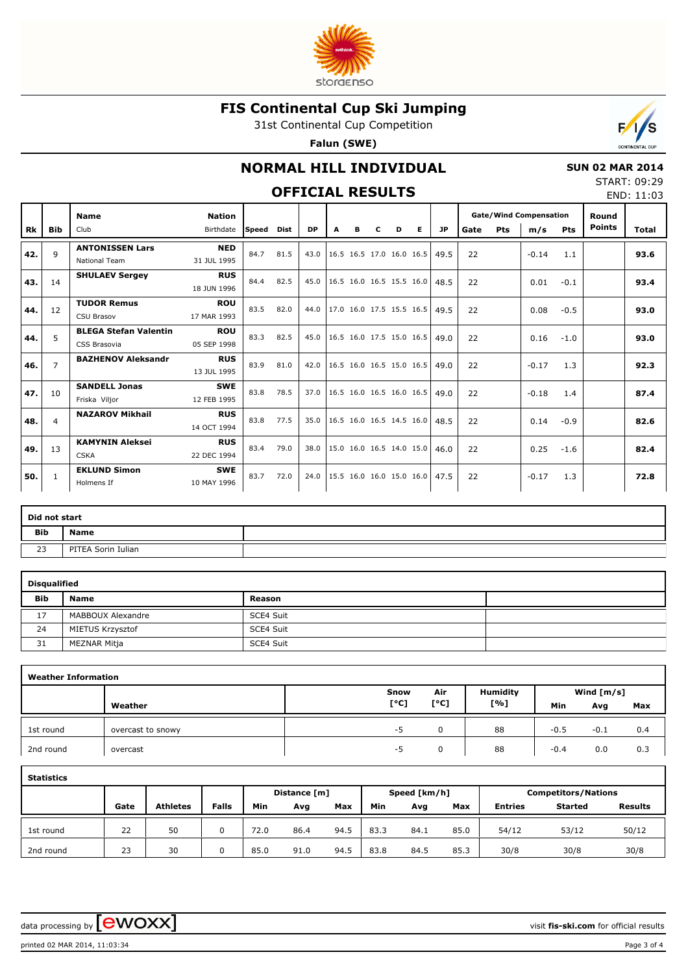

31st Continental Cup Competition

**Falun (SWE)**



### **NORMAL HILL INDIVIDUAL**

### **OFFICIAL RESUI**

**Nation**

 **SUN 02 MAR 2014** START: 09:29

| <b>Gate/Wind Compensation</b><br>Round<br><b>Points</b><br>Pts<br>Е.<br>Pts<br>m/s<br><b>JP</b><br>Gate<br>Total<br>D<br>$16.0$ 16.5<br>49.5<br>22<br>93.6<br>$-0.14$<br>1.1 | ∟٦ |  |  |  | END: 11:03 |
|------------------------------------------------------------------------------------------------------------------------------------------------------------------------------|----|--|--|--|------------|
|                                                                                                                                                                              |    |  |  |  |            |
|                                                                                                                                                                              |    |  |  |  |            |

| Rk  | Bib            | Club                                         | Birthdate                 | Speed | Dist | <b>DP</b> | A | в | с | D | E.                       | <b>JP</b>                     | Gate | <b>Pts</b> | m/s     | Pts    | <b>Points</b> | Total |
|-----|----------------|----------------------------------------------|---------------------------|-------|------|-----------|---|---|---|---|--------------------------|-------------------------------|------|------------|---------|--------|---------------|-------|
| 42. | $\mathsf{Q}$   | <b>ANTONISSEN Lars</b><br>National Team      | <b>NED</b><br>31 JUL 1995 | 84.7  | 81.5 | 43.0      |   |   |   |   | 16.5 16.5 17.0 16.0 16.5 | 49.5                          | 22   |            | $-0.14$ | 1.1    |               | 93.6  |
| 43. | 14             | <b>SHULAEV Sergey</b>                        | <b>RUS</b><br>18 JUN 1996 | 84.4  | 82.5 | 45.0      |   |   |   |   | 16.5 16.0 16.5 15.5 16.0 | 48.5                          | 22   |            | 0.01    | $-0.1$ |               | 93.4  |
| 44. | 12             | <b>TUDOR Remus</b><br><b>CSU Brasov</b>      | <b>ROU</b><br>17 MAR 1993 | 83.5  | 82.0 | 44.0      |   |   |   |   | 17.0 16.0 17.5 15.5 16.5 | 49.5                          | 22   |            | 0.08    | $-0.5$ |               | 93.0  |
| 44. | 5              | <b>BLEGA Stefan Valentin</b><br>CSS Brasovia | <b>ROU</b><br>05 SEP 1998 | 83.3  | 82.5 | 45.0      |   |   |   |   | 16.5 16.0 17.5 15.0 16.5 | 49.0                          | 22   |            | 0.16    | $-1.0$ |               | 93.0  |
| 46. | $\overline{7}$ | <b>BAZHENOV Aleksandr</b>                    | <b>RUS</b><br>13 JUL 1995 | 83.9  | 81.0 | 42.0      |   |   |   |   | 16.5 16.0 16.5 15.0 16.5 | 49.0                          | 22   |            | $-0.17$ | 1.3    |               | 92.3  |
| 47. | 10             | <b>SANDELL Jonas</b><br>Friska Viljor        | <b>SWE</b><br>12 FEB 1995 | 83.8  | 78.5 | 37.0      |   |   |   |   | 16.5 16.0 16.5 16.0 16.5 | 49.0                          | 22   |            | $-0.18$ | 1.4    |               | 87.4  |
| 48. | 4              | <b>NAZAROV Mikhail</b>                       | <b>RUS</b><br>14 OCT 1994 | 83.8  | 77.5 | 35.0      |   |   |   |   | 16.5 16.0 16.5 14.5 16.0 | 48.5                          | 22   |            | 0.14    | $-0.9$ |               | 82.6  |
| 49. | 13             | <b>KAMYNIN Aleksei</b><br><b>CSKA</b>        | <b>RUS</b><br>22 DEC 1994 | 83.4  | 79.0 | 38.0      |   |   |   |   |                          | 15.0 16.0 16.5 14.0 15.0 46.0 | 22   |            | 0.25    | $-1.6$ |               | 82.4  |
| 50. | 1              | <b>EKLUND Simon</b><br>Holmens If            | <b>SWE</b><br>10 MAY 1996 | 83.7  | 72.0 | 24.0      |   |   |   |   | 15.5 16.0 16.0 15.0 16.0 | 47.5                          | 22   |            | $-0.17$ | 1.3    |               | 72.8  |

| Did not start |                    |  |
|---------------|--------------------|--|
| <b>Bib</b>    | <b>Name</b>        |  |
| 23            | PITEA Sorin Iulian |  |

| <b>Disqualified</b> |                   |           |  |
|---------------------|-------------------|-----------|--|
| <b>Bib</b>          | <b>Name</b>       | Reason    |  |
| 17                  | MABBOUX Alexandre | SCE4 Suit |  |
| 24                  | MIETUS Krzysztof  | SCE4 Suit |  |
| 31                  | MEZNAR Mitja      | SCE4 Suit |  |

| <b>Weather Information</b> |                   |      |                                 |                 |        |              |     |
|----------------------------|-------------------|------|---------------------------------|-----------------|--------|--------------|-----|
|                            |                   | Snow | Air                             | <b>Humidity</b> |        | Wind $[m/s]$ |     |
|                            | Weather           | [°C] | $\mathsf{I}^\circ \mathsf{C}$ ] | [%]             | Min    | Avg          | Max |
| 1st round                  | overcast to snowy | -5   | 0                               | 88              | $-0.5$ | $-0.1$       | 0.4 |
| 2nd round                  | overcast          | -5   | 0                               | 88              | $-0.4$ | 0.0          | 0.3 |

| <b>Statistics</b> |      |                 |              |      |              |      |      |              |      |                |                            |                |
|-------------------|------|-----------------|--------------|------|--------------|------|------|--------------|------|----------------|----------------------------|----------------|
|                   |      |                 |              |      | Distance [m] |      |      | Speed [km/h] |      |                | <b>Competitors/Nations</b> |                |
|                   | Gate | <b>Athletes</b> | <b>Falls</b> | Min  | Avg          | Max  | Min  | Avg          | Max  | <b>Entries</b> | <b>Started</b>             | <b>Results</b> |
| 1st round         | 22   | 50              | 0            | 72.0 | 86.4         | 94.5 | 83.3 | 84.1         | 85.0 | 54/12          | 53/12                      | 50/12          |
| 2nd round         | 23   | 30              | 0            | 85.0 | 91.0         | 94.5 | 83.8 | 84.5         | 85.3 | 30/8           | 30/8                       | 30/8           |

data processing by **CWOXX**  $\blacksquare$ 

**Name**

printed 02 MAR 2014, 11:03:34 Page 3 of 4